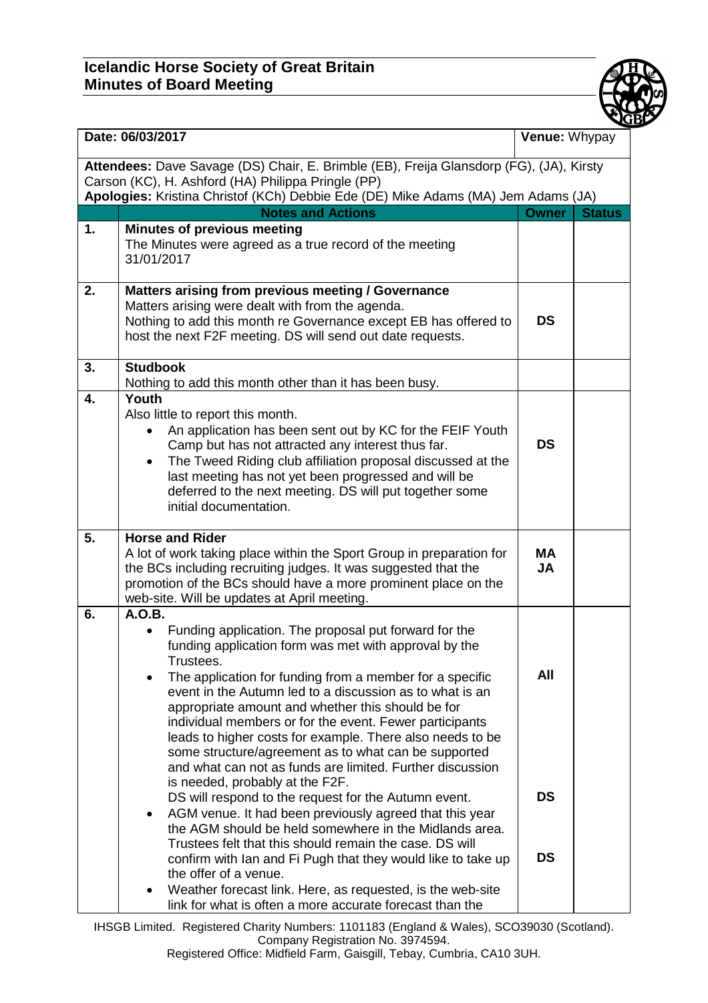

| Date: 06/03/2017                                                                                                                                                                                                                   |                                                                                                                                                                                                                                                                                                                                                                                                                                                                                                                                                                                                                                                                                                                                                                                                                                                                                                                                                                                                                                                                            | Venue: Whypay                 |               |  |
|------------------------------------------------------------------------------------------------------------------------------------------------------------------------------------------------------------------------------------|----------------------------------------------------------------------------------------------------------------------------------------------------------------------------------------------------------------------------------------------------------------------------------------------------------------------------------------------------------------------------------------------------------------------------------------------------------------------------------------------------------------------------------------------------------------------------------------------------------------------------------------------------------------------------------------------------------------------------------------------------------------------------------------------------------------------------------------------------------------------------------------------------------------------------------------------------------------------------------------------------------------------------------------------------------------------------|-------------------------------|---------------|--|
| Attendees: Dave Savage (DS) Chair, E. Brimble (EB), Freija Glansdorp (FG), (JA), Kirsty<br>Carson (KC), H. Ashford (HA) Philippa Pringle (PP)<br>Apologies: Kristina Christof (KCh) Debbie Ede (DE) Mike Adams (MA) Jem Adams (JA) |                                                                                                                                                                                                                                                                                                                                                                                                                                                                                                                                                                                                                                                                                                                                                                                                                                                                                                                                                                                                                                                                            |                               |               |  |
|                                                                                                                                                                                                                                    | <b>Notes and Actions</b>                                                                                                                                                                                                                                                                                                                                                                                                                                                                                                                                                                                                                                                                                                                                                                                                                                                                                                                                                                                                                                                   | <b>Owner</b>                  | <b>Status</b> |  |
| 1.                                                                                                                                                                                                                                 | <b>Minutes of previous meeting</b><br>The Minutes were agreed as a true record of the meeting<br>31/01/2017                                                                                                                                                                                                                                                                                                                                                                                                                                                                                                                                                                                                                                                                                                                                                                                                                                                                                                                                                                |                               |               |  |
| 2.                                                                                                                                                                                                                                 | Matters arising from previous meeting / Governance<br>Matters arising were dealt with from the agenda.<br>Nothing to add this month re Governance except EB has offered to<br>host the next F2F meeting. DS will send out date requests.                                                                                                                                                                                                                                                                                                                                                                                                                                                                                                                                                                                                                                                                                                                                                                                                                                   | <b>DS</b>                     |               |  |
| 3.                                                                                                                                                                                                                                 | <b>Studbook</b><br>Nothing to add this month other than it has been busy.                                                                                                                                                                                                                                                                                                                                                                                                                                                                                                                                                                                                                                                                                                                                                                                                                                                                                                                                                                                                  |                               |               |  |
| 4.                                                                                                                                                                                                                                 | Youth<br>Also little to report this month.<br>An application has been sent out by KC for the FEIF Youth<br>Camp but has not attracted any interest thus far.<br>The Tweed Riding club affiliation proposal discussed at the<br>last meeting has not yet been progressed and will be<br>deferred to the next meeting. DS will put together some<br>initial documentation.                                                                                                                                                                                                                                                                                                                                                                                                                                                                                                                                                                                                                                                                                                   | <b>DS</b>                     |               |  |
| 5.                                                                                                                                                                                                                                 | <b>Horse and Rider</b><br>A lot of work taking place within the Sport Group in preparation for<br>the BCs including recruiting judges. It was suggested that the<br>promotion of the BCs should have a more prominent place on the<br>web-site. Will be updates at April meeting.                                                                                                                                                                                                                                                                                                                                                                                                                                                                                                                                                                                                                                                                                                                                                                                          | <b>MA</b><br><b>JA</b>        |               |  |
| 6.                                                                                                                                                                                                                                 | A.O.B.<br>Funding application. The proposal put forward for the<br>funding application form was met with approval by the<br>Trustees.<br>The application for funding from a member for a specific<br>event in the Autumn led to a discussion as to what is an<br>appropriate amount and whether this should be for<br>individual members or for the event. Fewer participants<br>leads to higher costs for example. There also needs to be<br>some structure/agreement as to what can be supported<br>and what can not as funds are limited. Further discussion<br>is needed, probably at the F2F.<br>DS will respond to the request for the Autumn event.<br>AGM venue. It had been previously agreed that this year<br>$\bullet$<br>the AGM should be held somewhere in the Midlands area.<br>Trustees felt that this should remain the case. DS will<br>confirm with Ian and Fi Pugh that they would like to take up<br>the offer of a venue.<br>Weather forecast link. Here, as requested, is the web-site<br>link for what is often a more accurate forecast than the | All<br><b>DS</b><br><b>DS</b> |               |  |

IHSGB Limited. Registered Charity Numbers: 1101183 (England & Wales), SCO39030 (Scotland). Company Registration No. 3974594. Registered Office: Midfield Farm, Gaisgill, Tebay, Cumbria, CA10 3UH.